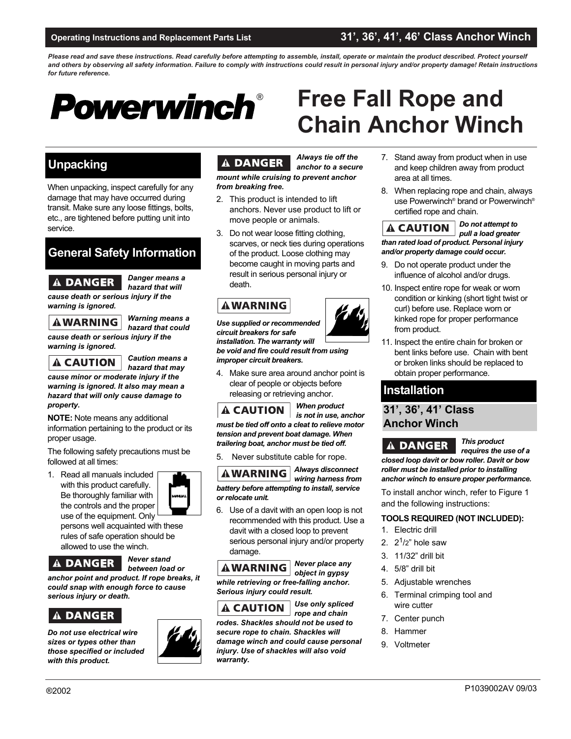### **Operating Instructions and Replacement Parts List 31', 36', 41', 46' Class Anchor Winch**

**Free Fall Rope and**

*Please read and save these instructions. Read carefully before attempting to assemble, install, operate or maintain the product described. Protect yourself and others by observing all safety information. Failure to comply with instructions could result in personal injury and/or property damage! Retain instructions for future reference.* 



### **Unpacking**

When unpacking, inspect carefully for any damage that may have occurred during transit. Make sure any loose fittings, bolts, etc., are tightened before putting unit into service.

## **General Safety Information**

### **A DANGER**

*hazard that will cause death or serious injury if the warning is ignored.*

**AWARNING** 

*Warning means a hazard that could*

*Danger means a* 

*cause death or serious injury if the warning is ignored.*

**A CAUTION** 

*Caution means a hazard that may*

*cause minor or moderate injury if the warning is ignored. It also may mean a hazard that will only cause damage to property.*

**NOTE:** Note means any additional information pertaining to the product or its proper usage.

The following safety precautions must be followed at all times:

1. Read all manuals included with this product carefully. Be thoroughly familiar with the controls and the proper use of the equipment. Only

persons well acquainted with these rules of safe operation should be allowed to use the winch.

### **A DANGER |**

*Never stand between load or*

*anchor point and product. If rope breaks, it could snap with enough force to cause serious injury or death.*

### **A DANGER**

*Do not use electrical wire sizes or types other than those specified or included with this product.*



#### **DANGER**  $\mathbf{A}$

*Always tie off the anchor to a secure mount while cruising to prevent anchor*

*from breaking free.*

- 2. This product is intended to lift anchors. Never use product to lift or move people or animals.
- 3. Do not wear loose fitting clothing, scarves, or neck ties during operations of the product. Loose clothing may become caught in moving parts and result in serious personal injury or death.

### **AWARNING**

*Use supplied or recommended circuit breakers for safe installation. The warranty will be void and fire could result from using improper circuit breakers.*

4. Make sure area around anchor point is clear of people or objects before releasing or retrieving anchor.

**A CAUTION** 

*When product is not in use, anchor*

*must be tied off onto a cleat to relieve motor tension and prevent boat damage. When trailering boat, anchor must be tied off.* 

5. Never substitute cable for rope.



6. Use of a davit with an open loop is not recommended with this product. Use a davit with a closed loop to prevent serious personal injury and/or property damage.

*Never place any*  **AWARNING** *object in gypsy while retrieving or free-falling anchor. Serious injury could result.*



*Use only spliced rope and chain*

*rodes. Shackles should not be used to secure rope to chain. Shackles will damage winch and could cause personal injury. Use of shackles will also void warranty.*

# **Chain Anchor Winch** 7. Stand away from product when in use and keep children away from product

- area at all times. 8. When replacing rope and chain, always
- use Powerwinch® brand or Powerwinch® certified rope and chain.

*Do not attempt to*  **A CAUTION** *pull a load greater than rated load of product. Personal injury and/or property damage could occur.*

- 9. Do not operate product under the influence of alcohol and/or drugs.
- 10. Inspect entire rope for weak or worn condition or kinking (short tight twist or curl) before use. Replace worn or kinked rope for proper performance from product.
- 11. Inspect the entire chain for broken or bent links before use. Chain with bent or broken links should be replaced to obtain proper performance.

### **Installation**

### **31', 36', 41' Class Anchor Winch**

**A DANGER** 

*This product* 

*requires the use of a closed loop davit or bow roller. Davit or bow roller must be installed prior to installing anchor winch to ensure proper performance.* 

To install anchor winch, refer to Figure 1 and the following instructions:

#### **TOOLS REQUIRED (NOT INCLUDED):**

- 1. Electric drill
- 2.  $2^{1/2}$  hole saw
- 3. 11/32" drill bit
- 4. 5/8" drill bit
- 5. Adjustable wrenches
- 6. Terminal crimping tool and wire cutter
- 7. Center punch
- 8. Hammer
- 9. Voltmeter



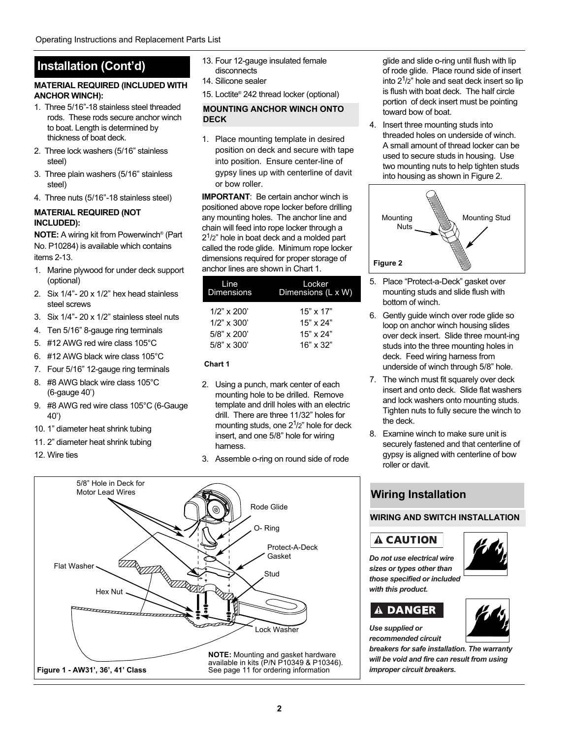#### **MATERIAL REQUIRED (INCLUDED WITH ANCHOR WINCH):**

- 1. Three 5/16"-18 stainless steel threaded rods. These rods secure anchor winch to boat. Length is determined by thickness of boat deck.
- 2. Three lock washers (5/16" stainless steel)
- 3. Three plain washers (5/16" stainless steel)
- 4. Three nuts (5/16"-18 stainless steel)

#### **MATERIAL REQUIRED (NOT INCLUDED):**

**NOTE:** A wiring kit from Powerwinch® (Part No. P10284) is available which contains items 2-13.

- 1. Marine plywood for under deck support (optional)
- 2. Six 1/4"- 20 x 1/2" hex head stainless steel screws
- 3. Six 1/4"- 20 x 1/2" stainless steel nuts
- 4. Ten 5/16" 8-gauge ring terminals
- 5. #12 AWG red wire class 105°C
- 6. #12 AWG black wire class 105°C
- 7. Four 5/16" 12-gauge ring terminals
- 8. #8 AWG black wire class 105°C (6-gauge 40')
- 9. #8 AWG red wire class 105°C (6-Gauge 40')

5/8" Hole in Deck for Motor Lead Wires

 $H$ <br> $H$ ex Nut<br> $H$ <br> $H$ <br> $H$ <br> $H$ <br> $H$ <br> $H$ <br><br> $H$ 

- 10. 1" diameter heat shrink tubing
- 11. 2" diameter heat shrink tubing

**Figure 1 - AW31', 36', 41' Class**

Flat Washer

12. Wire ties

- 13. Four 12-gauge insulated female disconnects
- 14. Silicone sealer
- 15. Loctite® 242 thread locker (optional)

#### **MOUNTING ANCHOR WINCH ONTO DECK**

1. Place mounting template in desired position on deck and secure with tape into position. Ensure center-line of gypsy lines up with centerline of davit or bow roller.

**IMPORTANT:** Be certain anchor winch is positioned above rope locker before drilling any mounting holes. The anchor line and chain will feed into rope locker through a  $2<sup>1</sup>/2$ " hole in boat deck and a molded part called the rode glide. Minimum rope locker dimensions required for proper storage of anchor lines are shown in Chart 1.

| Line              | Locker             |
|-------------------|--------------------|
| <b>Dimensions</b> | Dimensions (L x W) |
| $1/2$ " x $200'$  | $15" \times 17"$   |
| $1/2$ " x 300'    | $15" \times 24"$   |
| $5/8$ " x 200'    | $15" \times 24"$   |
| $5/8$ " x 300'    | $16" \times 32"$   |

**Chart 1**

- 2. Using a punch, mark center of each mounting hole to be drilled. Remove template and drill holes with an electric drill. There are three 11/32" holes for mounting studs, one  $2<sup>1</sup>/2$ " hole for deck insert, and one 5/8" hole for wiring harness.
- 3. Assemble o-ring on round side of rode

O- Ring

Stud

Protect-A-Deck Gasket

Rode Glide



4. Insert three mounting studs into threaded holes on underside of winch. A small amount of thread locker can be used to secure studs in housing. Use two mounting nuts to help tighten studs into housing as shown in Figure 2.



- 5. Place "Protect-a-Deck" gasket over mounting studs and slide flush with bottom of winch.
- 6. Gently guide winch over rode glide so loop on anchor winch housing slides over deck insert. Slide three mount-ing studs into the three mounting holes in deck. Feed wiring harness from underside of winch through 5/8" hole.
- 7. The winch must fit squarely over deck insert and onto deck. Slide flat washers and lock washers onto mounting studs. Tighten nuts to fully secure the winch to the deck.
- 8. Examine winch to make sure unit is securely fastened and that centerline of gypsy is aligned with centerline of bow roller or davit.

### **Wiring Installation**

#### **WIRING AND SWITCH INSTALLATION**

### **A CAUTION**

*Do not use electrical wire sizes or types other than those specified or included with this product.*



### **A DANGER**

*Use supplied or recommended circuit*

*breakers for safe installation. The warranty will be void and fire can result from using improper circuit breakers.*



Lock Washer

**NOTE:** Mounting and gasket hardware available in kits (P/N P10349 & P10346). See page 11 for ordering information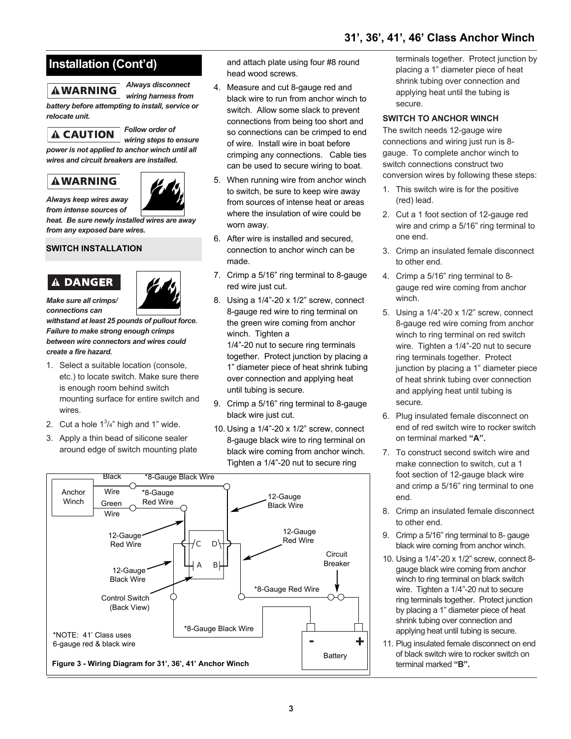### **AWARNING**

*Always disconnect wiring harness from*

*battery before attempting to install, service or relocate unit.* 

**A CAUTION** 

*Follow order of wiring steps to ensure*

*power is not applied to anchor winch until all wires and circuit breakers are installed.*

### **AWARNING**



*Always keep wires away from intense sources of*

*heat. Be sure newly installed wires are away from any exposed bare wires.* 

### **SWITCH INSTALLATION**

### **A DANGER**



*Make sure all crimps/ connections can*

*withstand at least 25 pounds of pullout force. Failure to make strong enough crimps between wire connectors and wires could create a fire hazard.*

- 1. Select a suitable location (console, etc.) to locate switch. Make sure there is enough room behind switch mounting surface for entire switch and wires.
- 2. Cut a hole  $1^3/4$ " high and 1" wide.
- 3. Apply a thin bead of silicone sealer around edge of switch mounting plate

and attach plate using four #8 round head wood screws.

- 4. Measure and cut 8-gauge red and black wire to run from anchor winch to switch. Allow some slack to prevent connections from being too short and so connections can be crimped to end of wire. Install wire in boat before crimping any connections. Cable ties can be used to secure wiring to boat.
- 5. When running wire from anchor winch to switch, be sure to keep wire away from sources of intense heat or areas where the insulation of wire could be worn away.
- 6. After wire is installed and secured, connection to anchor winch can be made.
- 7. Crimp a 5/16" ring terminal to 8-gauge red wire just cut.
- 8. Using a 1/4"-20 x 1/2" screw, connect 8-gauge red wire to ring terminal on the green wire coming from anchor winch. Tighten a 1/4"-20 nut to secure ring terminals together. Protect junction by placing a 1" diameter piece of heat shrink tubing over connection and applying heat until tubing is secure.
- 9. Crimp a 5/16" ring terminal to 8-gauge black wire just cut.
- 10. Using a 1/4"-20 x 1/2" screw, connect 8-gauge black wire to ring terminal on black wire coming from anchor winch. Tighten a 1/4"-20 nut to secure ring



terminals together. Protect junction by placing a 1" diameter piece of heat shrink tubing over connection and applying heat until the tubing is secure.

#### **SWITCH TO ANCHOR WINCH**

The switch needs 12-gauge wire connections and wiring just run is 8 gauge. To complete anchor winch to switch connections construct two conversion wires by following these steps:

- 1. This switch wire is for the positive (red) lead.
- 2. Cut a 1 foot section of 12-gauge red wire and crimp a 5/16" ring terminal to one end.
- 3. Crimp an insulated female disconnect to other end.
- 4. Crimp a 5/16" ring terminal to 8 gauge red wire coming from anchor winch.
- 5. Using a 1/4"-20 x 1/2" screw, connect 8-gauge red wire coming from anchor winch to ring terminal on red switch wire. Tighten a 1/4"-20 nut to secure ring terminals together. Protect junction by placing a 1" diameter piece of heat shrink tubing over connection and applying heat until tubing is secure.
- 6. Plug insulated female disconnect on end of red switch wire to rocker switch on terminal marked **"A".**
- 7. To construct second switch wire and make connection to switch, cut a 1 foot section of 12-gauge black wire and crimp a 5/16" ring terminal to one end.
- 8. Crimp an insulated female disconnect to other end.
- 9. Crimp a 5/16" ring terminal to 8- gauge black wire coming from anchor winch.
- 10. Using a 1/4"-20 x 1/2" screw, connect 8 gauge black wire coming from anchor winch to ring terminal on black switch wire. Tighten a 1/4"-20 nut to secure ring terminals together. Protect junction by placing a 1" diameter piece of heat shrink tubing over connection and applying heat until tubing is secure.
- 11. Plug insulated female disconnect on end of black switch wire to rocker switch on terminal marked **"B".**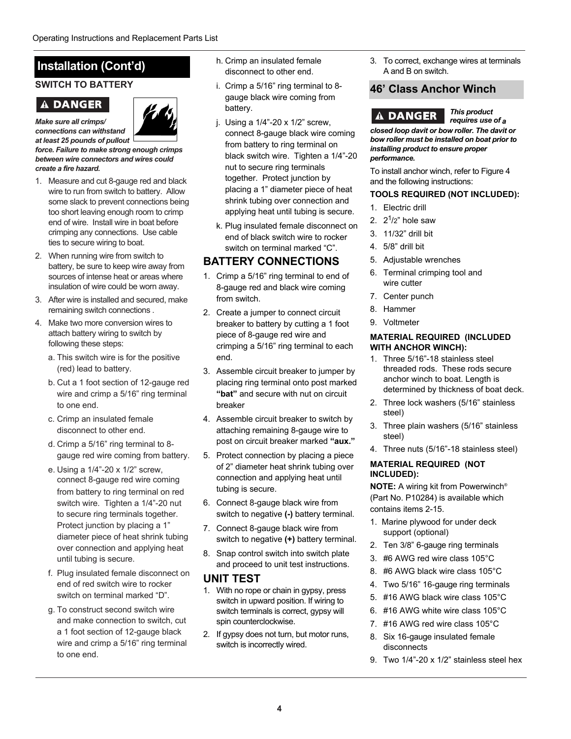### **SWITCH TO BATTERY**

### **A DANGER**



*Make sure all crimps/ connections can withstand*

*at least 25 pounds of pullout force. Failure to make strong enough crimps between wire connectors and wires could create a fire hazard.*

- 1. Measure and cut 8-gauge red and black wire to run from switch to battery. Allow some slack to prevent connections being too short leaving enough room to crimp end of wire. Install wire in boat before crimping any connections. Use cable ties to secure wiring to boat.
- 2. When running wire from switch to battery, be sure to keep wire away from sources of intense heat or areas where insulation of wire could be worn away.
- 3. After wire is installed and secured, make remaining switch connections .
- 4. Make two more conversion wires to attach battery wiring to switch by following these steps:
	- a. This switch wire is for the positive (red) lead to battery.
	- b. Cut a 1 foot section of 12-gauge red wire and crimp a 5/16" ring terminal to one end.
	- c. Crimp an insulated female disconnect to other end.
	- d. Crimp a 5/16" ring terminal to 8 gauge red wire coming from battery.
	- e. Using a 1/4"-20 x 1/2" screw, connect 8-gauge red wire coming from battery to ring terminal on red switch wire. Tighten a 1/4"-20 nut to secure ring terminals together. Protect junction by placing a 1" diameter piece of heat shrink tubing over connection and applying heat until tubing is secure.
	- f. Plug insulated female disconnect on end of red switch wire to rocker switch on terminal marked "D".
	- g. To construct second switch wire and make connection to switch, cut a 1 foot section of 12-gauge black wire and crimp a 5/16" ring terminal to one end.
- h. Crimp an insulated female disconnect to other end.
- i. Crimp a 5/16" ring terminal to 8 gauge black wire coming from battery.
- j. Using a 1/4"-20 x 1/2" screw, connect 8-gauge black wire coming from battery to ring terminal on black switch wire. Tighten a 1/4"-20 nut to secure ring terminals together. Protect junction by placing a 1" diameter piece of heat shrink tubing over connection and applying heat until tubing is secure.
- k. Plug insulated female disconnect on end of black switch wire to rocker switch on terminal marked "C".

### **BATTERY CONNECTIONS**

- 1. Crimp a 5/16" ring terminal to end of 8-gauge red and black wire coming from switch.
- 2. Create a jumper to connect circuit breaker to battery by cutting a 1 foot piece of 8-gauge red wire and crimping a 5/16" ring terminal to each end.
- 3. Assemble circuit breaker to jumper by placing ring terminal onto post marked **"bat"** and secure with nut on circuit breaker
- 4. Assemble circuit breaker to switch by attaching remaining 8-gauge wire to post on circuit breaker marked **"aux."**
- 5. Protect connection by placing a piece of 2" diameter heat shrink tubing over connection and applying heat until tubing is secure.
- 6. Connect 8-gauge black wire from switch to negative **(-)** battery terminal.
- 7. Connect 8-gauge black wire from switch to negative **(+)** battery terminal.
- 8. Snap control switch into switch plate and proceed to unit test instructions.

### **UNIT TEST**

- 1. With no rope or chain in gypsy, press switch in upward position. If wiring to switch terminals is correct, gypsy will spin counterclockwise.
- 2. If gypsy does not turn, but motor runs, switch is incorrectly wired.

3. To correct, exchange wires at terminals A and B on switch.

### **46' Class Anchor Winch**

*This product*  **A DANGER** 

*requires use of a closed loop davit or bow roller. The davit or bow roller must be installed on boat prior to installing product to ensure proper performance.* 

To install anchor winch, refer to Figure 4 and the following instructions:

#### **TOOLS REQUIRED (NOT INCLUDED):**

- 1. Electric drill
- 2.  $2^{1/2}$ " hole saw
- 3. 11/32" drill bit
- 4. 5/8" drill bit
- 5. Adjustable wrenches
- 6. Terminal crimping tool and wire cutter
- 7. Center punch
- 8. Hammer
- 9. Voltmeter

#### **MATERIAL REQUIRED (INCLUDED WITH ANCHOR WINCH):**

- 1. Three 5/16"-18 stainless steel threaded rods. These rods secure anchor winch to boat. Length is determined by thickness of boat deck.
- 2. Three lock washers (5/16" stainless steel)
- 3. Three plain washers (5/16" stainless steel)
- 4. Three nuts (5/16"-18 stainless steel)

#### **MATERIAL REQUIRED (NOT INCLUDED):**

**NOTE:** A wiring kit from Powerwinch® (Part No. P10284) is available which contains items 2-15.

- 1. Marine plywood for under deck support (optional)
- 2. Ten 3/8" 6-gauge ring terminals
- 3. #6 AWG red wire class 105°C
- 8. #6 AWG black wire class 105°C
- 4. Two 5/16" 16-gauge ring terminals
- 5. #16 AWG black wire class 105°C
- 6. #16 AWG white wire class 105°C
- 7. #16 AWG red wire class 105°C
- 8. Six 16-gauge insulated female disconnects
- 9. Two 1/4"-20 x 1/2" stainless steel hex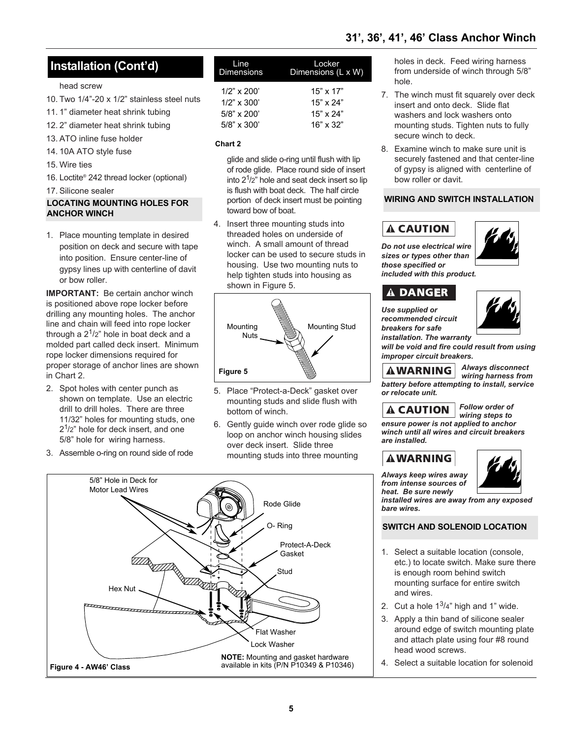#### head screw

- 10. Two 1/4"-20 x 1/2" stainless steel nuts
- 11. 1" diameter heat shrink tubing
- 12. 2" diameter heat shrink tubing
- 13. ATO inline fuse holder
- 14. 10A ATO style fuse
- 15. Wire ties
- 16. Loctite® 242 thread locker (optional)
- 17. Silicone sealer

#### **LOCATING MOUNTING HOLES FOR ANCHOR WINCH**

1. Place mounting template in desired position on deck and secure with tape into position. Ensure center-line of gypsy lines up with centerline of davit or bow roller.

**IMPORTANT:** Be certain anchor winch is positioned above rope locker before drilling any mounting holes. The anchor line and chain will feed into rope locker through a  $2^1/2$ " hole in boat deck and a molded part called deck insert. Minimum rope locker dimensions required for proper storage of anchor lines are shown in Chart 2.

- 2. Spot holes with center punch as shown on template. Use an electric drill to drill holes. There are three 11/32" holes for mounting studs, one  $2<sup>1</sup>/2$ " hole for deck insert, and one 5/8" hole for wiring harness.
- 3. Assemble o-ring on round side of rode

| Line              | Locker             |
|-------------------|--------------------|
| <b>Dimensions</b> | Dimensions (L x W) |
| $1/2$ " x $200'$  | $15" \times 17"$   |
| $1/2$ " x 300'    | $15" \times 24"$   |
| $5/8$ " x 200'    | $15" \times 24"$   |
| $5/8$ " x 300'    | $16" \times 32"$   |

#### **Chart 2**

glide and slide o-ring until flush with lip of rode glide. Place round side of insert into  $2^1/2$ " hole and seat deck insert so lip is flush with boat deck. The half circle portion of deck insert must be pointing toward bow of boat.

4. Insert three mounting studs into threaded holes on underside of winch. A small amount of thread locker can be used to secure studs in housing. Use two mounting nuts to help tighten studs into housing as shown in Figure 5.



- 5. Place "Protect-a-Deck" gasket over mounting studs and slide flush with bottom of winch.
- 6. Gently guide winch over rode glide so loop on anchor winch housing slides over deck insert. Slide three mounting studs into three mounting



holes in deck. Feed wiring harness from underside of winch through 5/8" hole.

- 7. The winch must fit squarely over deck insert and onto deck. Slide flat washers and lock washers onto mounting studs. Tighten nuts to fully secure winch to deck.
- 8. Examine winch to make sure unit is securely fastened and that center-line of gypsy is aligned with centerline of bow roller or davit.

#### **WIRING AND SWITCH INSTALLATION**

### **A CAUTION**



*Do not use electrical wire sizes or types other than those specified or included with this product.*

### **A DANGER**

*Use supplied or recommended circuit breakers for safe installation. The warranty*



*will be void and fire could result from using improper circuit breakers.*

*Always disconnect*  **AWARNING** *wiring harness from battery before attempting to install, service or relocate unit.*

### **A CAUTION**

*wiring steps to ensure power is not applied to anchor winch until all wires and circuit breakers are installed.*

### **AWARNING**

*Always keep wires away from intense sources of heat. Be sure newly*



*Follow order of* 

*installed wires are away from any exposed bare wires.* 

#### **SWITCH AND SOLENOID LOCATION**

- 1. Select a suitable location (console, etc.) to locate switch. Make sure there is enough room behind switch mounting surface for entire switch and wires.
- 2. Cut a hole  $1^3/4$ " high and 1" wide.
- 3. Apply a thin band of silicone sealer around edge of switch mounting plate and attach plate using four #8 round head wood screws.
- 4. Select a suitable location for solenoid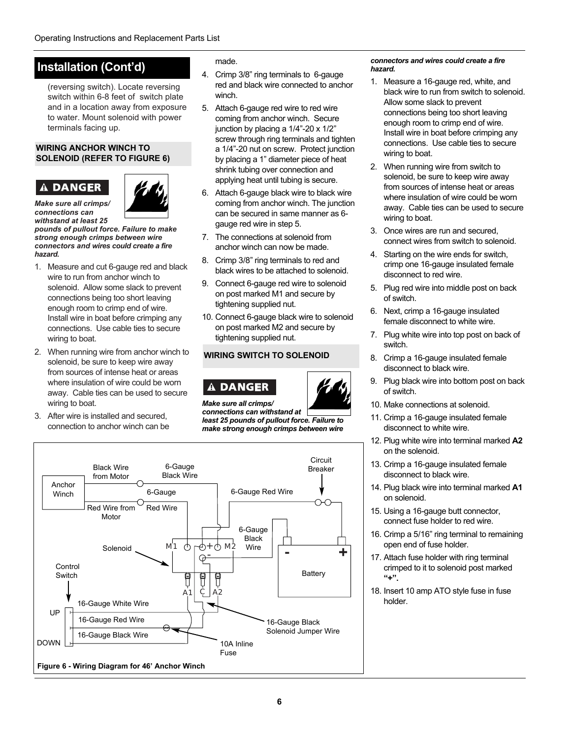(reversing switch). Locate reversing switch within 6-8 feet of switch plate and in a location away from exposure to water. Mount solenoid with power terminals facing up.

#### **WIRING ANCHOR WINCH TO SOLENOID (REFER TO FIGURE 6)**

#### **DANGER** A



*Make sure all crimps/ connections can withstand at least 25*

*pounds of pullout force. Failure to make strong enough crimps between wire connectors and wires could create a fire hazard.*

- 1. Measure and cut 6-gauge red and black wire to run from anchor winch to solenoid. Allow some slack to prevent connections being too short leaving enough room to crimp end of wire. Install wire in boat before crimping any connections. Use cable ties to secure wiring to boat.
- 2. When running wire from anchor winch to solenoid, be sure to keep wire away from sources of intense heat or areas where insulation of wire could be worn away. Cable ties can be used to secure wiring to boat.
- 3. After wire is installed and secured, connection to anchor winch can be

made.

- 4. Crimp 3/8" ring terminals to 6-gauge red and black wire connected to anchor winch.
- 5. Attach 6-gauge red wire to red wire coming from anchor winch. Secure junction by placing a 1/4"-20 x 1/2" screw through ring terminals and tighten a 1/4"-20 nut on screw. Protect junction by placing a 1" diameter piece of heat shrink tubing over connection and applying heat until tubing is secure.
- 6. Attach 6-gauge black wire to black wire coming from anchor winch. The junction can be secured in same manner as 6 gauge red wire in step 5.
- 7. The connections at solenoid from anchor winch can now be made.
- 8. Crimp 3/8" ring terminals to red and black wires to be attached to solenoid.
- 9. Connect 6-gauge red wire to solenoid on post marked M1 and secure by tightening supplied nut.
- 10. Connect 6-gauge black wire to solenoid on post marked M2 and secure by tightening supplied nut.

#### **WIRING SWITCH TO SOLENOID**





*Make sure all crimps/ connections can withstand at least 25 pounds of pullout force. Failure to*

*make strong enough crimps between wire*



#### *connectors and wires could create a fire hazard.*

- 1. Measure a 16-gauge red, white, and black wire to run from switch to solenoid. Allow some slack to prevent connections being too short leaving enough room to crimp end of wire. Install wire in boat before crimping any connections. Use cable ties to secure wiring to boat.
- 2. When running wire from switch to solenoid, be sure to keep wire away from sources of intense heat or areas where insulation of wire could be worn away. Cable ties can be used to secure wiring to boat.
- 3. Once wires are run and secured, connect wires from switch to solenoid.
- 4. Starting on the wire ends for switch, crimp one 16-gauge insulated female disconnect to red wire.
- 5. Plug red wire into middle post on back of switch.
- 6. Next, crimp a 16-gauge insulated female disconnect to white wire.
- 7. Plug white wire into top post on back of switch.
- 8. Crimp a 16-gauge insulated female disconnect to black wire.
- 9. Plug black wire into bottom post on back of switch.
- 10. Make connections at solenoid.
- 11. Crimp a 16-gauge insulated female disconnect to white wire.
- 12. Plug white wire into terminal marked **A2** on the solenoid.
- 13. Crimp a 16-gauge insulated female disconnect to black wire.
- 14. Plug black wire into terminal marked **A1** on solenoid.
- 15. Using a 16-gauge butt connector, connect fuse holder to red wire.
- 16. Crimp a 5/16" ring terminal to remaining open end of fuse holder.
- 17. Attach fuse holder with ring terminal crimped to it to solenoid post marked **"+".**
- 18. Insert 10 amp ATO style fuse in fuse holder.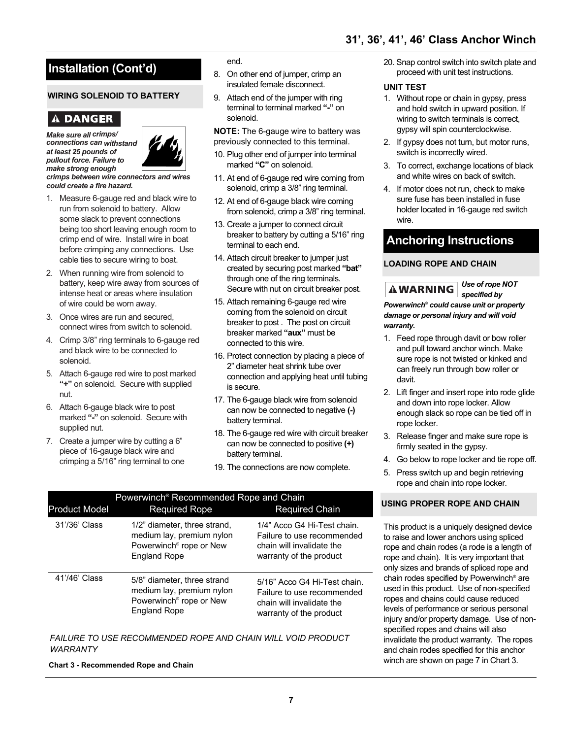### **WIRING SOLENOID TO BATTERY**

### **A DANGER**

*Make sure all crimps/ connections can withstand at least 25 pounds of pullout force. Failure to make strong enough*



*crimps between wire connectors and wires could create a fire hazard.*

- 1. Measure 6-gauge red and black wire to run from solenoid to battery. Allow some slack to prevent connections being too short leaving enough room to crimp end of wire. Install wire in boat before crimping any connections. Use cable ties to secure wiring to boat.
- 2. When running wire from solenoid to battery, keep wire away from sources of intense heat or areas where insulation of wire could be worn away.
- 3. Once wires are run and secured, connect wires from switch to solenoid.
- 4. Crimp 3/8" ring terminals to 6-gauge red and black wire to be connected to solenoid.
- 5. Attach 6-gauge red wire to post marked **"+"** on solenoid. Secure with supplied nut.
- 6. Attach 6-gauge black wire to post marked **"-"** on solenoid. Secure with supplied nut.
- 7. Create a jumper wire by cutting a 6" piece of 16-gauge black wire and crimping a 5/16" ring terminal to one

end.

- 8. On other end of jumper, crimp an insulated female disconnect.
- 9. Attach end of the jumper with ring terminal to terminal marked **"-"** on solenoid.

**NOTE:** The 6-gauge wire to battery was previously connected to this terminal.

- 10. Plug other end of jumper into terminal marked **"C"** on solenoid.
- 11. At end of 6-gauge red wire coming from solenoid, crimp a 3/8" ring terminal.
- 12. At end of 6-gauge black wire coming from solenoid, crimp a 3/8" ring terminal.
- 13. Create a jumper to connect circuit breaker to battery by cutting a 5/16" ring terminal to each end.
- 14. Attach circuit breaker to jumper just created by securing post marked **"bat"** through one of the ring terminals. Secure with nut on circuit breaker post.
- 15. Attach remaining 6-gauge red wire coming from the solenoid on circuit breaker to post . The post on circuit breaker marked **"aux"** must be connected to this wire.
- 16. Protect connection by placing a piece of 2" diameter heat shrink tube over connection and applying heat until tubing is secure.
- 17. The 6-gauge black wire from solenoid can now be connected to negative **(-)** battery terminal.
- 18. The 6-gauge red wire with circuit breaker can now be connected to positive **(+)** battery terminal.
- 19. The connections are now complete.

| <b>Product Model</b> | Powerwinch <sup>®</sup> Recommended Rope and Chain<br><b>Required Rope</b>                                              | <b>Required Chain</b>                                                                                              |
|----------------------|-------------------------------------------------------------------------------------------------------------------------|--------------------------------------------------------------------------------------------------------------------|
| 31'/36' Class        | 1/2" diameter, three strand,<br>medium lay, premium nylon<br>Powerwinch <sup>®</sup> rope or New<br><b>England Rope</b> | 1/4" Acco G4 Hi-Test chain.<br>Failure to use recommended<br>chain will invalidate the<br>warranty of the product  |
| 41'/46' Class        | 5/8" diameter, three strand<br>medium lay, premium nylon<br>Powerwinch <sup>®</sup> rope or New<br><b>England Rope</b>  | 5/16" Acco G4 Hi-Test chain.<br>Failure to use recommended<br>chain will invalidate the<br>warranty of the product |

*FAILURE TO USE RECOMMENDED ROPE AND CHAIN WILL VOID PRODUCT WARRANTY*

**Chart 3 - Recommended Rope and Chain**

#### 20. Snap control switch into switch plate and proceed with unit test instructions.

#### **UNIT TEST**

- 1. Without rope or chain in gypsy, press and hold switch in upward position. If wiring to switch terminals is correct, gypsy will spin counterclockwise.
- 2. If gypsy does not turn, but motor runs, switch is incorrectly wired.
- 3. To correct, exchange locations of black and white wires on back of switch.
- 4. If motor does not run, check to make sure fuse has been installed in fuse holder located in 16-gauge red switch wire.

### **Anchoring Instructions**

#### **LOADING ROPE AND CHAIN**

*Use of rope NOT* **AWARNING** *specified by*

*Powerwinch® could cause unit or property damage or personal injury and will void warranty.*

- 1. Feed rope through davit or bow roller and pull toward anchor winch. Make sure rope is not twisted or kinked and can freely run through bow roller or davit.
- 2. Lift finger and insert rope into rode glide and down into rope locker. Allow enough slack so rope can be tied off in rope locker.
- 3. Release finger and make sure rope is firmly seated in the gypsy.
- 4. Go below to rope locker and tie rope off.
- 5. Press switch up and begin retrieving rope and chain into rope locker.

#### **USING PROPER ROPE AND CHAIN**

This product is a uniquely designed device to raise and lower anchors using spliced rope and chain rodes (a rode is a length of rope and chain). It is very important that only sizes and brands of spliced rope and chain rodes specified by Powerwinch® are used in this product. Use of non-specified ropes and chains could cause reduced levels of performance or serious personal injury and/or property damage. Use of nonspecified ropes and chains will also invalidate the product warranty. The ropes and chain rodes specified for this anchor winch are shown on page 7 in Chart 3.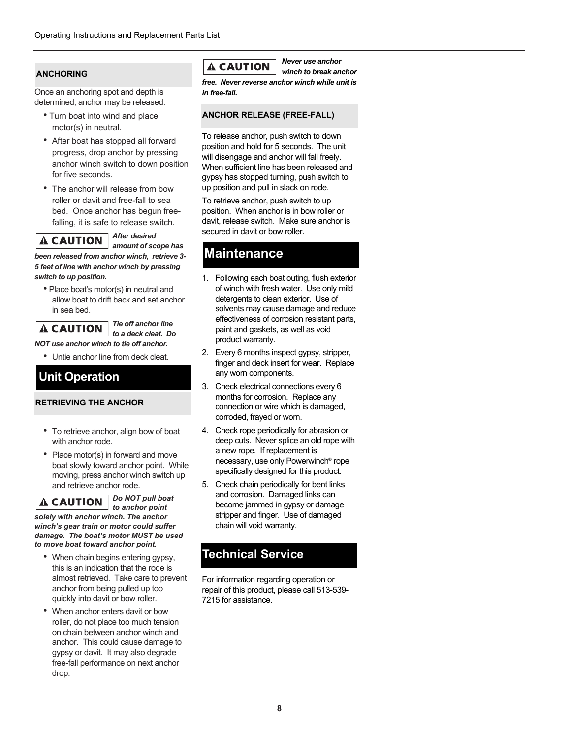#### **ANCHORING**

Once an anchoring spot and depth is determined, anchor may be released.

- Turn boat into wind and place motor(s) in neutral.
- After boat has stopped all forward progress, drop anchor by pressing anchor winch switch to down position for five seconds.
- The anchor will release from bow roller or davit and free-fall to sea bed. Once anchor has begun freefalling, it is safe to release switch.

#### *After desired*  **A CAUTION** *amount of scope has*

*been released from anchor winch, retrieve 3- 5 feet of line with anchor winch by pressing switch to up position.* 

• Place boat's motor(s) in neutral and allow boat to drift back and set anchor in sea bed.

### **A CAUTION**

*Tie off anchor line to a deck cleat. Do*

*NOT use anchor winch to tie off anchor.*

• Untie anchor line from deck cleat.

### **Unit Operation**

#### **RETRIEVING THE ANCHOR**

- To retrieve anchor, align bow of boat with anchor rode.
- Place motor(s) in forward and move boat slowly toward anchor point. While moving, press anchor winch switch up and retrieve anchor rode.

#### *Do NOT pull boat*  **A CAUTION**

*to anchor point solely with anchor winch. The anchor winch's gear train or motor could suffer damage. The boat's motor MUST be used to move boat toward anchor point.*

- When chain begins entering gypsy, this is an indication that the rode is almost retrieved. Take care to prevent anchor from being pulled up too quickly into davit or bow roller.
- When anchor enters davit or bow roller, do not place too much tension on chain between anchor winch and anchor. This could cause damage to gypsy or davit. It may also degrade free-fall performance on next anchor drop

### **A CAUTION**

*Never use anchor winch to break anchor*

*free. Never reverse anchor winch while unit is in free-fall.* 

#### **ANCHOR RELEASE (FREE-FALL)**

To release anchor, push switch to down position and hold for 5 seconds. The unit will disengage and anchor will fall freely. When sufficient line has been released and gypsy has stopped turning, push switch to up position and pull in slack on rode.

To retrieve anchor, push switch to up position. When anchor is in bow roller or davit, release switch. Make sure anchor is secured in davit or bow roller.

### **Maintenance**

- 1. Following each boat outing, flush exterior of winch with fresh water. Use only mild detergents to clean exterior. Use of solvents may cause damage and reduce effectiveness of corrosion resistant parts, paint and gaskets, as well as void product warranty.
- 2. Every 6 months inspect gypsy, stripper, finger and deck insert for wear. Replace any worn components.
- 3. Check electrical connections every 6 months for corrosion. Replace any connection or wire which is damaged, corroded, frayed or worn.
- 4. Check rope periodically for abrasion or deep cuts. Never splice an old rope with a new rope. If replacement is necessary, use only Powerwinch® rope specifically designed for this product.
- 5. Check chain periodically for bent links and corrosion. Damaged links can become jammed in gypsy or damage stripper and finger. Use of damaged chain will void warranty.

### **Technical Service**

For information regarding operation or repair of this product, please call 513-539- 7215 for assistance.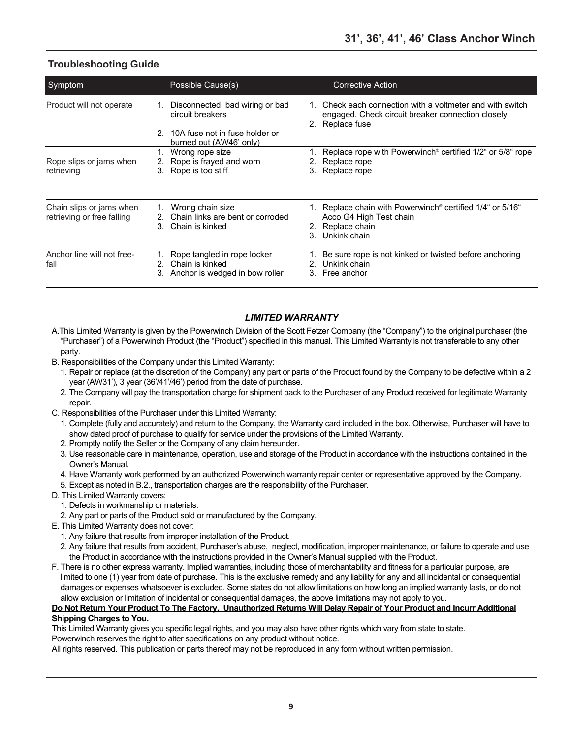### **Troubleshooting Guide**

| Symptom                                                |                      | Possible Cause(s)                                                                         |    | <b>Corrective Action</b>                                                                                                             |
|--------------------------------------------------------|----------------------|-------------------------------------------------------------------------------------------|----|--------------------------------------------------------------------------------------------------------------------------------------|
| Product will not operate                               |                      | 1. Disconnected, bad wiring or bad<br>circuit breakers                                    |    | 1. Check each connection with a voltmeter and with switch<br>engaged. Check circuit breaker connection closely<br>2. Replace fuse    |
|                                                        |                      | 2. 10A fuse not in fuse holder or<br>burned out (AW46' only)                              |    |                                                                                                                                      |
| Rope slips or jams when<br>retrieving                  |                      | 1. Wrong rope size<br>2. Rope is frayed and worn<br>3. Rope is too stiff                  |    | 1. Replace rope with Powerwinch <sup>®</sup> certified 1/2" or 5/8" rope<br>Replace rope<br>3. Replace rope                          |
| Chain slips or jams when<br>retrieving or free falling | 2 <sup>1</sup><br>3. | 1. Wrong chain size<br>Chain links are bent or corroded<br>Chain is kinked                | 3. | 1. Replace chain with Powerwinch <sup>®</sup> certified 1/4" or 5/16"<br>Acco G4 High Test chain<br>2. Replace chain<br>Unkink chain |
| Anchor line will not free-<br>fall                     |                      | 1. Rope tangled in rope locker<br>2. Chain is kinked<br>3. Anchor is wedged in bow roller |    | 1. Be sure rope is not kinked or twisted before anchoring<br>2. Unkink chain<br>3. Free anchor                                       |

#### *LIMITED WARRANTY*

- A.This Limited Warranty is given by the Powerwinch Division of the Scott Fetzer Company (the "Company") to the original purchaser (the "Purchaser") of a Powerwinch Product (the "Product") specified in this manual. This Limited Warranty is not transferable to any other party.
- B. Responsibilities of the Company under this Limited Warranty:
	- 1. Repair or replace (at the discretion of the Company) any part or parts of the Product found by the Company to be defective within a 2 year (AW31'), 3 year (36'/41'/46') period from the date of purchase.
	- 2. The Company will pay the transportation charge for shipment back to the Purchaser of any Product received for legitimate Warranty repair.
- C. Responsibilities of the Purchaser under this Limited Warranty:
	- 1. Complete (fully and accurately) and return to the Company, the Warranty card included in the box. Otherwise, Purchaser will have to show dated proof of purchase to qualify for service under the provisions of the Limited Warranty.
	- 2. Promptly notify the Seller or the Company of any claim hereunder.
	- 3. Use reasonable care in maintenance, operation, use and storage of the Product in accordance with the instructions contained in the Owner's Manual.
	- 4. Have Warranty work performed by an authorized Powerwinch warranty repair center or representative approved by the Company.
	- 5. Except as noted in B.2., transportation charges are the responsibility of the Purchaser.
- D. This Limited Warranty covers:
	- 1. Defects in workmanship or materials.
	- 2. Any part or parts of the Product sold or manufactured by the Company.
- E. This Limited Warranty does not cover:
	- 1. Any failure that results from improper installation of the Product.
	- 2. Any failure that results from accident, Purchaser's abuse, neglect, modification, improper maintenance, or failure to operate and use the Product in accordance with the instructions provided in the Owner's Manual supplied with the Product.
- F. There is no other express warranty. Implied warranties, including those of merchantability and fitness for a particular purpose, are limited to one (1) year from date of purchase. This is the exclusive remedy and any liability for any and all incidental or consequential damages or expenses whatsoever is excluded. Some states do not allow limitations on how long an implied warranty lasts, or do not allow exclusion or limitation of incidental or consequential damages, the above limitations may not apply to you.

#### **Do Not Return Your Product To The Factory. Unauthorized Returns Will Delay Repair of Your Product and Incurr Additional Shipping Charges to You.**

This Limited Warranty gives you specific legal rights, and you may also have other rights which vary from state to state. Powerwinch reserves the right to alter specifications on any product without notice.

All rights reserved. This publication or parts thereof may not be reproduced in any form without written permission.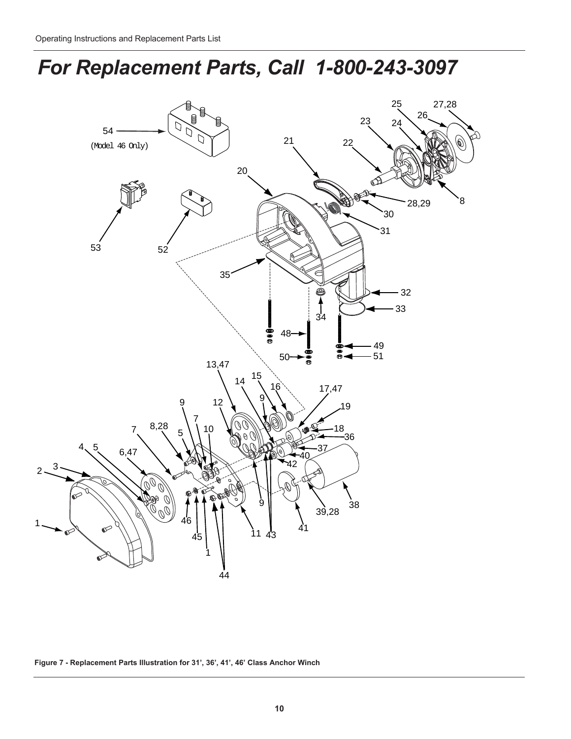# *For Replacement Parts, Call 1-800-243-3097*



**Figure 7 - Replacement Parts Illustration for 31', 36', 41', 46' Class Anchor Winch**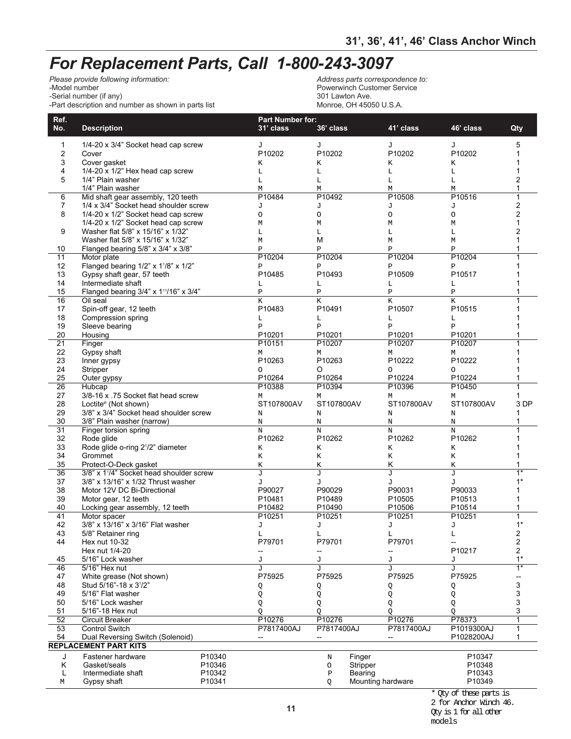# *For Replacement Parts, Call 1-800-243-3097*

*Please provide following information:*<br>-Model number -Serial number (if any)<br>-Part description and number as shown in parts list and the state of the Monroe, OH 45050 U.S.A. -Part description and number as shown in parts list

Address parts correspondence to:<br>Powerwinch Customer Service<br>301 Lawton Ave.

| Ref.<br>No.           | <b>Description</b>                               |        | <b>Part Number for:</b><br>31' class | 36' class          |          | 41' class              | 46' class                          | Qty              |
|-----------------------|--------------------------------------------------|--------|--------------------------------------|--------------------|----------|------------------------|------------------------------------|------------------|
| 1                     | 1/4-20 x 3/4" Socket head cap screw              |        | J                                    | J                  |          | J                      | J                                  | 5                |
| $\overline{2}$        | Cover                                            |        | P10202                               | P10202             |          | P10202                 | P10202                             | 1                |
| 3                     | Cover gasket                                     |        | Κ                                    | Κ                  |          | K                      | Κ                                  | 1                |
| 4                     | 1/4-20 x 1/2" Hex head cap screw                 |        | L                                    | $\mathbb L$        |          | Г                      | L                                  | 1                |
| 5                     | 1/4" Plain washer                                |        | L                                    | $\mathbb L$        |          | L                      | L                                  | 2                |
|                       | 1/4" Plain washer                                |        | M                                    | М                  |          | М                      | М                                  | 1                |
| 6                     | Mid shaft gear assembly, 120 teeth               |        | P10484                               | P10492             |          | P10508                 | P10516                             | $\overline{1}$   |
| $\overline{7}$        | 1/4 x 3/4" Socket head shoulder screw            |        | J                                    | J                  |          | J                      | J                                  | 2                |
| 8                     | 1/4-20 x 1/2" Socket head cap screw              |        | $\circ$                              | $\circ$            |          | $\circ$                | $\circ$                            | 2                |
|                       | 1/4-20 x 1/2" Socket head cap screw              |        | M                                    | М                  |          | М                      | М                                  | 1                |
| 9                     | Washer flat 5/8" x 15/16" x 1/32"                |        | L                                    | L                  |          | Г                      | L                                  | 2                |
|                       | Washer flat 5/8" x 15/16" x 1/32"                |        | M                                    | M                  |          | М                      | М                                  | 1                |
| 10                    | Flanged bearing 5/8" x 3/4" x 3/8"               |        | Ρ                                    | P                  |          | Ρ                      | Ρ                                  | 1                |
| 11                    | Motor plate                                      |        | P10204                               | P10204             |          | P10204                 | P10204                             | 1                |
| 12                    | Flanged bearing 1/2" x 1 <sup>1</sup> /8" x 1/2" |        | Ρ                                    | P                  |          | Ρ                      | Ρ                                  | 1                |
| 13                    | Gypsy shaft gear, 57 teeth                       |        | P10485                               | P10493             |          | P10509                 | P10517                             | 1                |
| 14                    | Intermediate shaft                               |        | Г                                    | Г                  |          | Г                      | L                                  |                  |
| 15                    | Flanged bearing 3/4" x 111/16" x 3/4"            |        | $\, {\bf P}$                         | $\, {\bf p}$       |          | $\, {\bf p}$           | $\, {\bf P}$                       |                  |
| 16                    | Oil seal                                         |        | K                                    | K                  |          | K                      | $\overline{\rm K}$                 | 1                |
| 17                    | Spin-off gear, 12 teeth                          |        | P10483                               | P <sub>10491</sub> |          | P10507                 | P10515                             |                  |
| 18                    | Compression spring                               |        | L                                    | Г                  |          | Г                      | L                                  |                  |
| 19                    | Sleeve bearing                                   |        | $\, {\bf P}$<br>P10201               | $\mathbf{P}$       |          | $\, {\bf p}$<br>P10201 | $\mathbf P$                        |                  |
| 20<br>$\overline{21}$ | Housing<br>Finger                                |        | P10151                               | P10201<br>P10207   |          | P10207                 | P10201<br>P10207                   | 1                |
| 22                    | Gypsy shaft                                      |        | М                                    | М                  |          | М                      | М                                  |                  |
| 23                    | Inner gypsy                                      |        | P10263                               | P10263             |          | P10222                 | P10222                             |                  |
| 24                    | Stripper                                         |        | $\circ$                              | O                  |          | O                      | 0                                  |                  |
| 25                    | Outer gypsy                                      |        | P10264                               | P10264             |          | P10224                 | P10224                             | 1                |
| $\overline{26}$       | Hubcap                                           |        | P10388                               | P10394             |          | P10396                 | P10450                             | 1                |
| 27                    | 3/8-16 x .75 Socket flat head screw              |        | М                                    | М                  |          | М                      | М                                  | 1                |
| 28                    | Loctite <sup>®</sup> (Not shown)                 |        | ST107800AV                           | ST107800AV         |          | ST107800AV             | ST107800AV                         | 3 DP             |
| 29                    | 3/8" x 3/4" Socket head shoulder screw           |        | $\rm N$                              | N                  |          | N                      | Ν                                  | 1                |
| 30                    | 3/8" Plain washer (narrow)                       |        | $\rm N$                              | N                  |          | N                      | N                                  |                  |
| $\overline{31}$       | Finger torsion spring                            |        | $\rm N$                              | $\rm N$            |          | N                      | $\rm N$                            |                  |
| 32                    | Rode glide                                       |        | P10262                               | P10262             |          | P10262                 | P10262                             |                  |
| 33                    | Rode glide o-ring 2 <sup>1</sup> /2" diameter    |        | Κ                                    | К                  |          | K                      | Κ                                  |                  |
| 34                    | Grommet                                          |        | Κ                                    | K                  |          | Κ                      | Κ                                  |                  |
| 35                    | Protect-O-Deck gasket                            |        | Κ                                    | K                  |          | Κ                      | Κ                                  | 1                |
| $\overline{36}$       | 3/8" x 1'/4" Socket head shoulder screw          |        | J                                    | J                  |          | J                      | J                                  | $\overline{1^*}$ |
| 37                    | 3/8" x 13/16" x 1/32 Thrust washer               |        | J                                    | J                  |          | J                      | J                                  | $1*$             |
| 38                    | Motor 12V DC Bi-Directional                      |        | P90027                               | P90029             |          | P90031                 | P90033                             | 1                |
| 39                    | Motor gear, 12 teeth                             |        | P10481                               | P10489             |          | P10505                 | P10513                             | 1                |
| 40                    | Locking gear assembly, 12 teeth                  |        | P10482                               | P10490             |          | P10506                 | P10514                             | 1                |
| 41                    | Motor spacer                                     |        | P10251                               | P10251             |          | P10251                 | P10251                             | $\mathbf{1}$     |
| 42                    | 3/8" x 13/16" x 3/16" Flat washer                |        | J                                    | J                  |          | J                      | J                                  | $1*$             |
| 43                    | 5/8" Retainer ring                               |        | L                                    | L                  |          | L                      | L                                  | 2                |
| 44                    | Hex nut 10-32                                    |        | P79701                               | P79701             |          | P79701                 | $\hspace{0.05cm} -\hspace{0.05cm}$ | 2                |
|                       | Hex nut 1/4-20<br>5/16" Lock washer              |        |                                      |                    |          | --                     | P10217                             | 2<br>$1*$        |
| 45<br>46              | 5/16" Hex nut                                    |        | J<br>J                               | J<br><b>J</b>      |          | J<br><b>T</b>          | J<br>J                             | $\overline{1^*}$ |
| 47                    | White grease (Not shown)                         |        | P75925                               | P75925             |          | P75925                 | P75925                             |                  |
| 48                    | Stud 5/16"-18 x 31/2"                            |        |                                      |                    |          |                        |                                    | 3                |
| 49                    | 5/16" Flat washer                                |        | Q<br>Q                               | Q<br>Q             |          | Q<br>Q                 | Q<br>Q                             | 3                |
| 50                    | 5/16" Lock washer                                |        | Q                                    | Q                  |          | Q                      |                                    | 3                |
| 51                    | 5/16"-18 Hex nut                                 |        | Q                                    | Q                  |          | Q                      | Q<br>Q                             | 3                |
| 52                    | Circuit Breaker                                  |        | P10276                               | P10276             |          | P10276                 | P78373                             | $\overline{1}$   |
| 53                    | <b>Control Switch</b>                            |        | P7817400AJ                           | P7817400AJ         |          | P7817400AJ             | P1019300AJ                         |                  |
| 54                    | Dual Reversing Switch (Solenoid)                 |        |                                      | --                 |          |                        | P1028200AJ                         | 1                |
|                       | <b>REPLACEMENT PART KITS</b>                     |        |                                      |                    |          |                        |                                    |                  |
| J                     | Fastener hardware                                | P10340 |                                      | N                  | Finger   |                        | P10347                             |                  |
| Κ                     | Gasket/seals                                     | P10346 |                                      | O                  | Stripper |                        | P10348                             |                  |
| L                     | Intermediate shaft                               | P10342 |                                      | $\, {\bf P}$       | Bearing  |                        | P10343                             |                  |
| М                     | Gypsy shaft                                      | P10341 |                                      | Q                  |          | Mounting hardware      | P10349                             |                  |
|                       |                                                  |        |                                      |                    |          |                        |                                    |                  |

\* Qty of these parts is

models